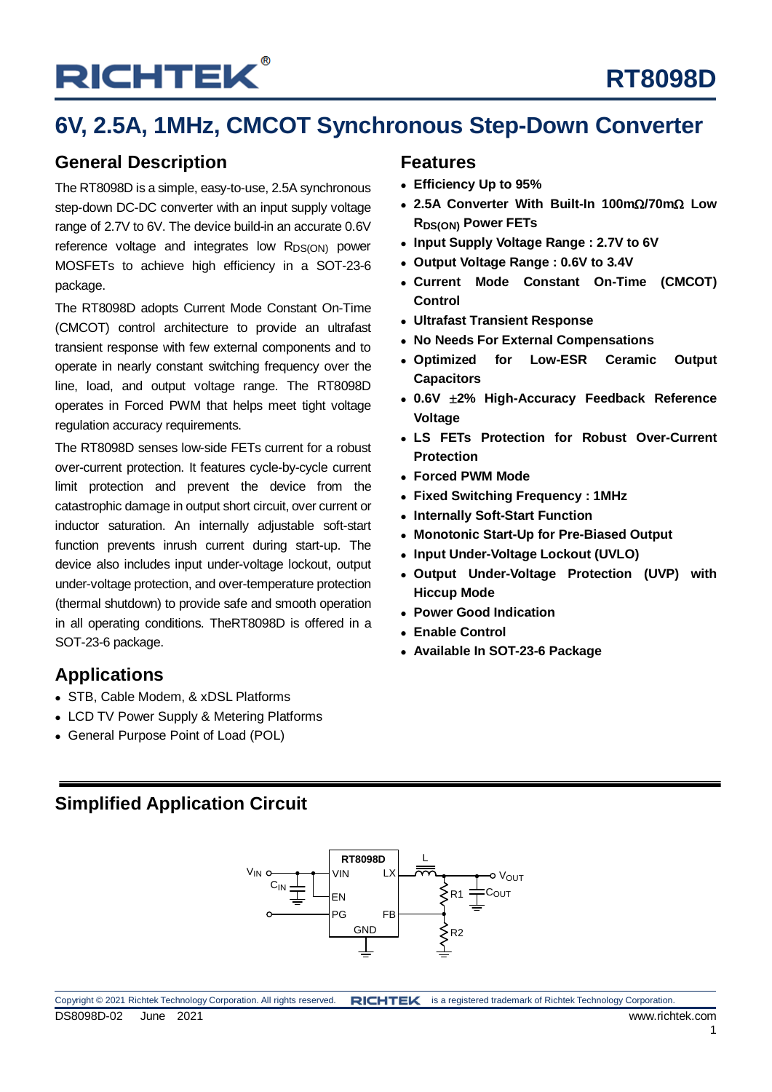## **RT8098D**

## **6V, 2.5A, 1MHz, CMCOT Synchronous Step-Down Converter**

### **General Description**

The RT8098D is a simple, easy-to-use, 2.5A synchronous step-down DC-DC converter with an input supply voltage range of 2.7V to 6V. The device build-in an accurate 0.6V reference voltage and integrates low R<sub>DS(ON)</sub> power MOSFETs to achieve high efficiency in a SOT-23-6 package.

The RT8098D adopts Current Mode Constant On-Time (CMCOT) control architecture to provide an ultrafast transient response with few external components and to operate in nearly constant switching frequency over the line, load, and output voltage range. The RT8098D operates in Forced PWM that helps meet tight voltage regulation accuracy requirements.

The RT8098D senses low-side FETs current for a robust over-current protection. It features cycle-by-cycle current limit protection and prevent the device from the catastrophic damage in output short circuit, over current or inductor saturation. An internally adjustable soft-start function prevents inrush current during start-up. The device also includes input under-voltage lockout, output under-voltage protection, and over-temperature protection (thermal shutdown) to provide safe and smooth operation in all operating conditions. TheRT8098D is offered in a SOT-23-6 package.

### **Applications**

- STB, Cable Modem, & xDSL Platforms
- LCD TV Power Supply & Metering Platforms
- General Purpose Point of Load (POL)

### **Features**

- **Efficiency Up to 95%**
- **2.5A Converter With Built-In 100m**Ω**/70m**Ω **Low RDS(ON) Power FETs**
- **Input Supply Voltage Range : 2.7V to 6V**
- **Output Voltage Range : 0.6V to 3.4V**
- **Current Mode Constant On-Time (CMCOT) Control**
- **Ultrafast Transient Response**
- **No Needs For External Compensations**
- **Optimized for Low-ESR Ceramic Output Capacitors**
- **0.6V** ±**2% High-Accuracy Feedback Reference Voltage**
- **LS FETs Protection for Robust Over-Current Protection**
- **Forced PWM Mode**
- **Fixed Switching Frequency : 1MHz**
- **Internally Soft-Start Function**
- **Monotonic Start-Up for Pre-Biased Output**
- **Input Under-Voltage Lockout (UVLO)**
- **Output Under-Voltage Protection (UVP) with Hiccup Mode**
- **Power Good Indication**
- **Enable Control**
- **Available In SOT-23-6 Package**

### **Simplified Application Circuit**

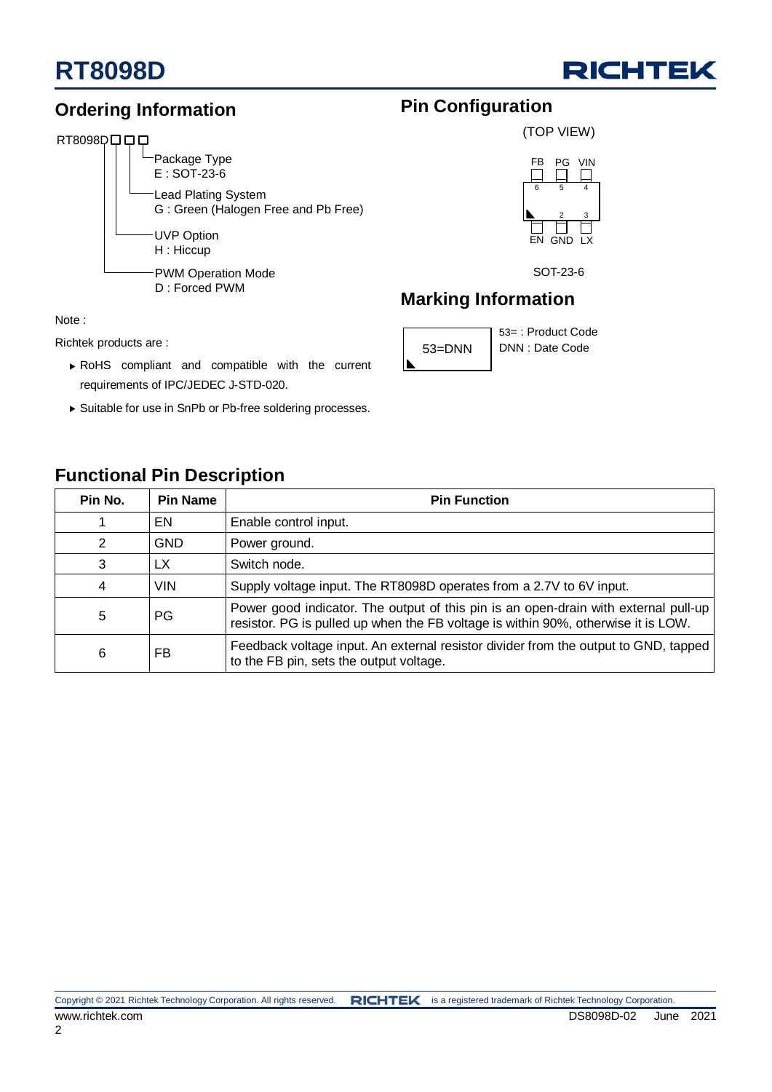

**Pin Configuration**

**Marking Information**

53=DNN | DNN : Date Code

(TOP VIEW)

6 5

FB PG VIN

4

EN GND LX

SOT-23-6

53= : Product Code

2 3

### **Ordering Information**

### RT8098Dロロロ



#### Note :

Richtek products are :

- ▶ RoHS compliant and compatible with the current requirements of IPC/JEDEC J-STD-020.
- Suitable for use in SnPb or Pb-free soldering processes.

### **Functional Pin Description**

| Pin No. | <b>Pin Name</b> | <b>Pin Function</b>                                                                                                                                                      |
|---------|-----------------|--------------------------------------------------------------------------------------------------------------------------------------------------------------------------|
|         | EN              | Enable control input.                                                                                                                                                    |
| 2       | <b>GND</b>      | Power ground.                                                                                                                                                            |
| 3       | LX.             | Switch node.                                                                                                                                                             |
| 4       | <b>VIN</b>      | Supply voltage input. The RT8098D operates from a 2.7V to 6V input.                                                                                                      |
| 5       | PG              | Power good indicator. The output of this pin is an open-drain with external pull-up<br>resistor. PG is pulled up when the FB voltage is within 90%, otherwise it is LOW. |
| 6       | FB              | Feedback voltage input. An external resistor divider from the output to GND, tapped<br>to the FB pin, sets the output voltage.                                           |

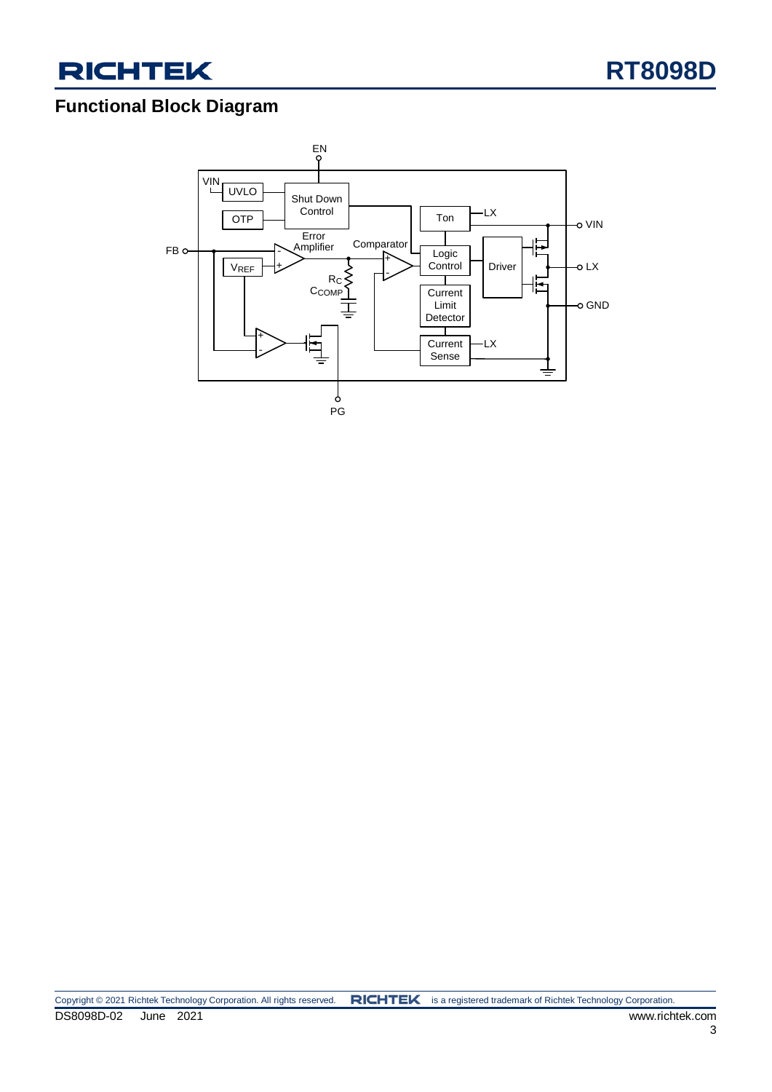



### **Functional Block Diagram**

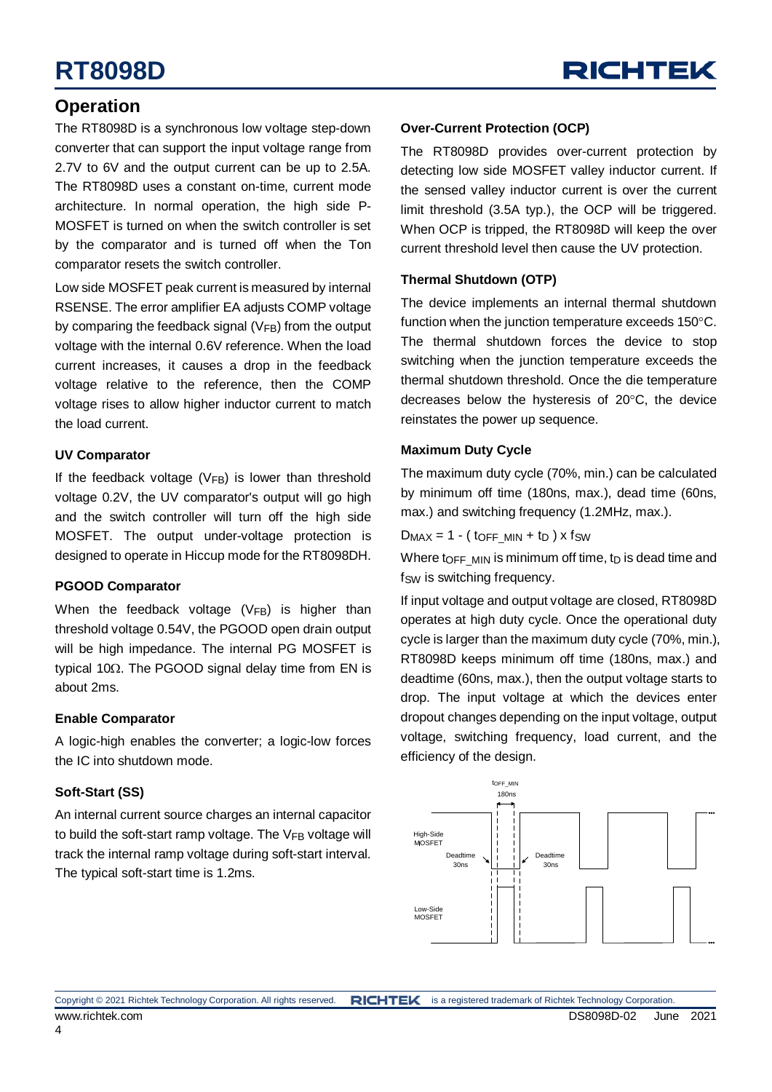### **Operation**

The RT8098D is a synchronous low voltage step-down converter that can support the input voltage range from 2.7V to 6V and the output current can be up to 2.5A. The RT8098D uses a constant on-time, current mode architecture. In normal operation, the high side P-MOSFET is turned on when the switch controller is set by the comparator and is turned off when the Ton comparator resets the switch controller.

Low side MOSFET peak current is measured by internal RSENSE. The error amplifier EA adjusts COMP voltage by comparing the feedback signal ( $V_{FB}$ ) from the output voltage with the internal 0.6V reference. When the load current increases, it causes a drop in the feedback voltage relative to the reference, then the COMP voltage rises to allow higher inductor current to match the load current.

#### **UV Comparator**

If the feedback voltage  $(V_{FB})$  is lower than threshold voltage 0.2V, the UV comparator's output will go high and the switch controller will turn off the high side MOSFET. The output under-voltage protection is designed to operate in Hiccup mode for the RT8098DH.

### **PGOOD Comparator**

When the feedback voltage  $(V_{FB})$  is higher than threshold voltage 0.54V, the PGOOD open drain output will be high impedance. The internal PG MOSFET is typical 10Ω. The PGOOD signal delay time from EN is about 2ms.

### **Enable Comparator**

A logic-high enables the converter; a logic-low forces the IC into shutdown mode.

### **Soft-Start (SS)**

An internal current source charges an internal capacitor to build the soft-start ramp voltage. The  $V_{FB}$  voltage will track the internal ramp voltage during soft-start interval. The typical soft-start time is 1.2ms.

### **Over-Current Protection (OCP)**

The RT8098D provides over-current protection by detecting low side MOSFET valley inductor current. If the sensed valley inductor current is over the current limit threshold (3.5A typ.), the OCP will be triggered. When OCP is tripped, the RT8098D will keep the over current threshold level then cause the UV protection.

### **Thermal Shutdown (OTP)**

The device implements an internal thermal shutdown function when the junction temperature exceeds 150°C. The thermal shutdown forces the device to stop switching when the junction temperature exceeds the thermal shutdown threshold. Once the die temperature decreases below the hysteresis of 20°C, the device reinstates the power up sequence.

#### **Maximum Duty Cycle**

The maximum duty cycle (70%, min.) can be calculated by minimum off time (180ns, max.), dead time (60ns, max.) and switching frequency (1.2MHz, max.).

 $D_{MAX} = 1 - (toFFMIN + tp) \times fSW$ 

Where to FF MIN is minimum off time, tp is dead time and f<sub>SW</sub> is switching frequency.

If input voltage and output voltage are closed, RT8098D operates at high duty cycle. Once the operational duty cycle is larger than the maximum duty cycle (70%, min.), RT8098D keeps minimum off time (180ns, max.) and deadtime (60ns, max.), then the output voltage starts to drop. The input voltage at which the devices enter dropout changes depending on the input voltage, output voltage, switching frequency, load current, and the efficiency of the design.

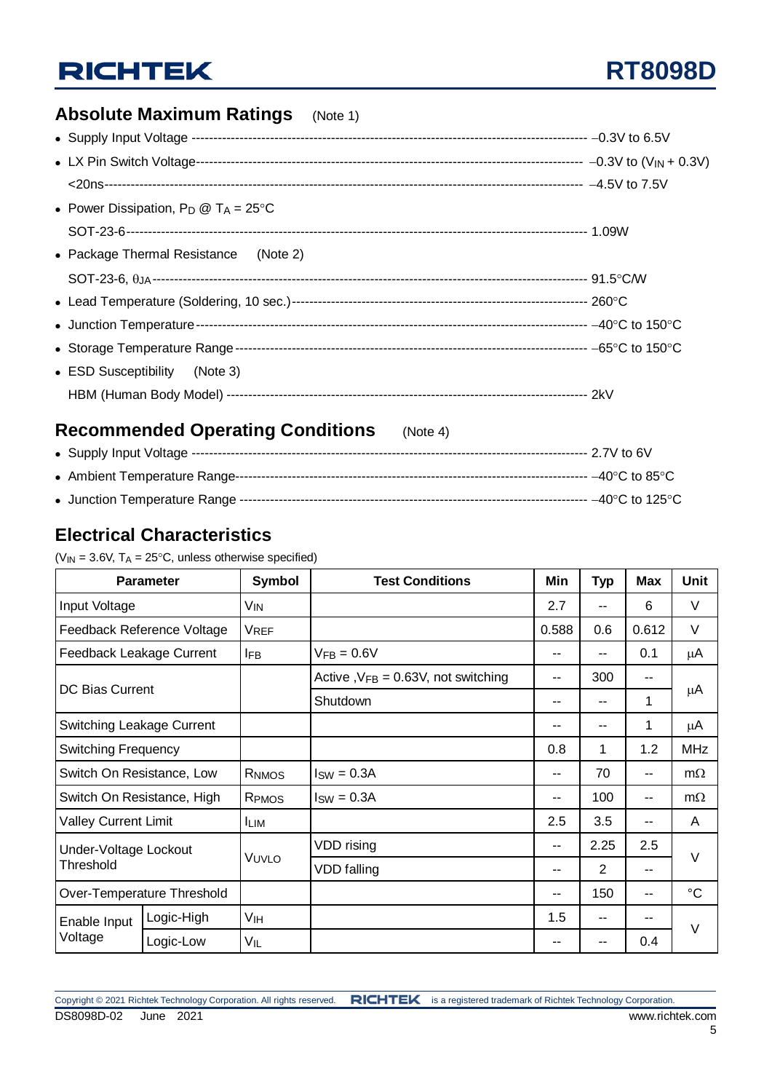### **Absolute Maximum Ratings** (Note 1)

| • Power Dissipation, $P_D @ T_A = 25^{\circ}C$ |  |
|------------------------------------------------|--|
|                                                |  |
| • Package Thermal Resistance (Note 2)          |  |
|                                                |  |
|                                                |  |
|                                                |  |
|                                                |  |
| • ESD Susceptibility (Note 3)                  |  |
|                                                |  |
|                                                |  |

### **Recommended Operating Conditions** (Note 4)

## **Electrical Characteristics**

| $(V_{IN} = 3.6V, T_A = 25^{\circ}C,$ unless otherwise specified) |  |  |
|------------------------------------------------------------------|--|--|

|                                    | <b>Parameter</b>           | <b>Symbol</b>   | <b>Test Conditions</b>                 | Min   | <b>Typ</b> | <b>Max</b> | Unit        |  |
|------------------------------------|----------------------------|-----------------|----------------------------------------|-------|------------|------------|-------------|--|
| Input Voltage                      |                            | VIN             |                                        | 2.7   | --         | 6          | V           |  |
|                                    | Feedback Reference Voltage | <b>VREF</b>     |                                        | 0.588 | 0.6        | 0.612      | V           |  |
| Feedback Leakage Current           |                            | <b>IFB</b>      | $V_{FB} = 0.6V$                        | --    | --         | 0.1        | μA          |  |
|                                    |                            |                 | Active , $VFB = 0.63V$ , not switching | --    | 300        | --         |             |  |
| <b>DC Bias Current</b>             |                            |                 | Shutdown                               | --    | --         | 1          | μA          |  |
| Switching Leakage Current          |                            |                 |                                        | --    | --         | 1          | μA          |  |
| <b>Switching Frequency</b>         |                            |                 |                                        | 0.8   | 1          | 1.2        | <b>MHz</b>  |  |
| Switch On Resistance, Low          |                            | RNMOS           | $I_{SW} = 0.3A$                        | --    | 70         | --         | $m\Omega$   |  |
| Switch On Resistance, High         |                            | RPMOS           | $I_{SW} = 0.3A$                        | --    | 100        | $-$        | $m\Omega$   |  |
| <b>Valley Current Limit</b>        |                            | <b>ILIM</b>     |                                        | 2.5   | 3.5        | --         | A           |  |
| Under-Voltage Lockout<br>Threshold |                            |                 | VDD rising                             | --    | 2.25       | 2.5        | $\vee$      |  |
|                                    |                            | VUVLO           | VDD falling                            | --    | 2          | $-$        |             |  |
| Over-Temperature Threshold         |                            |                 |                                        | --    | 150        | --         | $^{\circ}C$ |  |
| Enable Input                       | Logic-High                 | V <sub>IH</sub> |                                        | 1.5   | --         |            | $\vee$      |  |
| Voltage                            | Logic-Low                  | VIL             |                                        | --    | --         | 0.4        |             |  |

5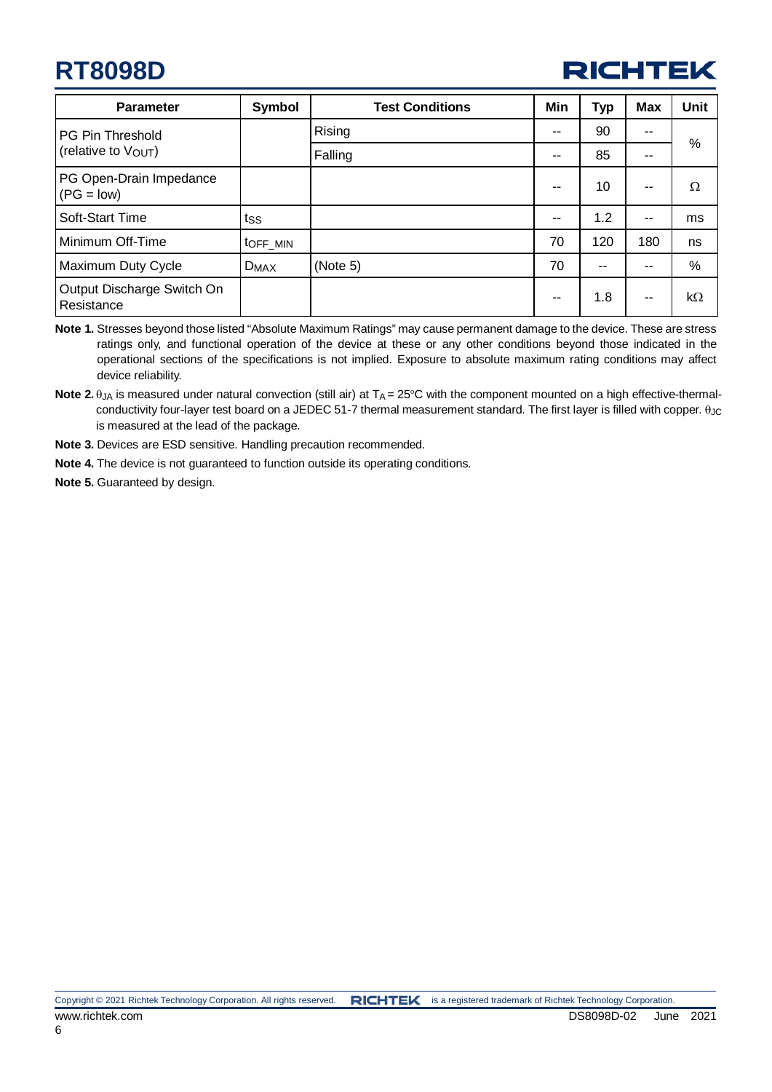

| <b>Parameter</b>                         | Symbol    | <b>Test Conditions</b> | Min   | <b>Typ</b> | <b>Max</b> | <b>Unit</b> |
|------------------------------------------|-----------|------------------------|-------|------------|------------|-------------|
| <b>PG Pin Threshold</b>                  |           | Rising                 | --    | 90         | --         |             |
| (relative to V <sub>OUT</sub> )          |           | Falling                | $-$   | 85         | --         | %           |
| PG Open-Drain Impedance<br>$(PG = low)$  |           |                        | --    | 10         | --         | Ω           |
| Soft-Start Time                          | tss       |                        | $- -$ | 1.2        | $-$        | ms          |
| Minimum Off-Time                         | toff MIN  |                        | 70    | 120        | 180        | ns          |
| Maximum Duty Cycle                       | $D_{MAX}$ | (Note 5)               | 70    | --         |            | $\%$        |
| Output Discharge Switch On<br>Resistance |           |                        | $-$   | 1.8        | --         | $k\Omega$   |

**Note 1.** Stresses beyond those listed "Absolute Maximum Ratings" may cause permanent damage to the device. These are stress ratings only, and functional operation of the device at these or any other conditions beyond those indicated in the operational sections of the specifications is not implied. Exposure to absolute maximum rating conditions may affect device reliability.

Note 2. θ<sub>JA</sub> is measured under natural convection (still air) at T<sub>A</sub> = 25°C with the component mounted on a high effective-thermalconductivity four-layer test board on a JEDEC 51-7 thermal measurement standard. The first layer is filled with copper. θ<sub>JC</sub> is measured at the lead of the package.

**Note 3.** Devices are ESD sensitive. Handling precaution recommended.

**Note 4.** The device is not guaranteed to function outside its operating conditions.

**Note 5.** Guaranteed by design.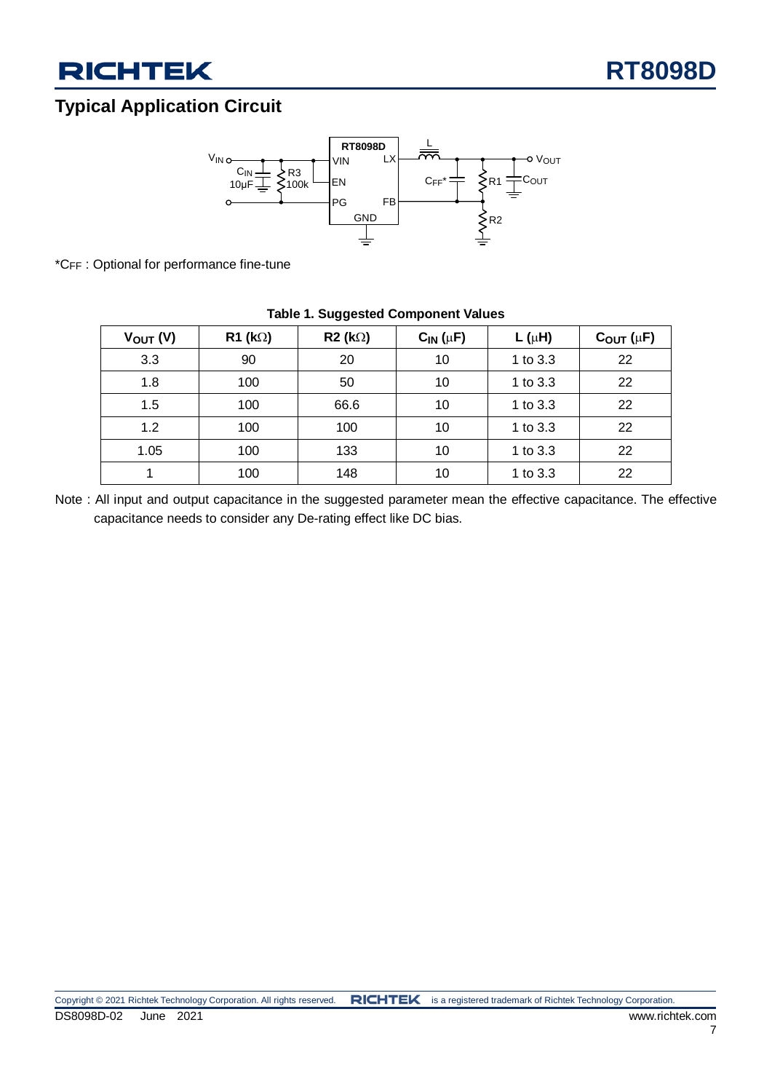### **Typical Application Circuit**



\*CFF : Optional for performance fine-tune

|               |                    | ັັ             |                 |            |                      |
|---------------|--------------------|----------------|-----------------|------------|----------------------|
| $V_{OUT} (V)$ | $R1$ (k $\Omega$ ) | $R2 (k\Omega)$ | $C_{IN}(\mu F)$ | $L(\mu H)$ | $C_{OUT}$ ( $\mu$ F) |
| 3.3           | 90                 | 20             | 10              | 1 to 3.3   | 22                   |
| 1.8           | 100                | 50             | 10              | 1 to 3.3   | 22                   |
| 1.5           | 100                | 66.6           | 10              | 1 to 3.3   | 22                   |
| 1.2           | 100                | 100            | 10              | 1 to 3.3   | 22                   |
| 1.05          | 100                | 133            | 10              | 1 to 3.3   | 22                   |
| 4             | 100                | 148            | 10              | 1 to 3.3   | 22                   |

### **Table 1. Suggested Component Values**

Note : All input and output capacitance in the suggested parameter mean the effective capacitance. The effective capacitance needs to consider any De-rating effect like DC bias.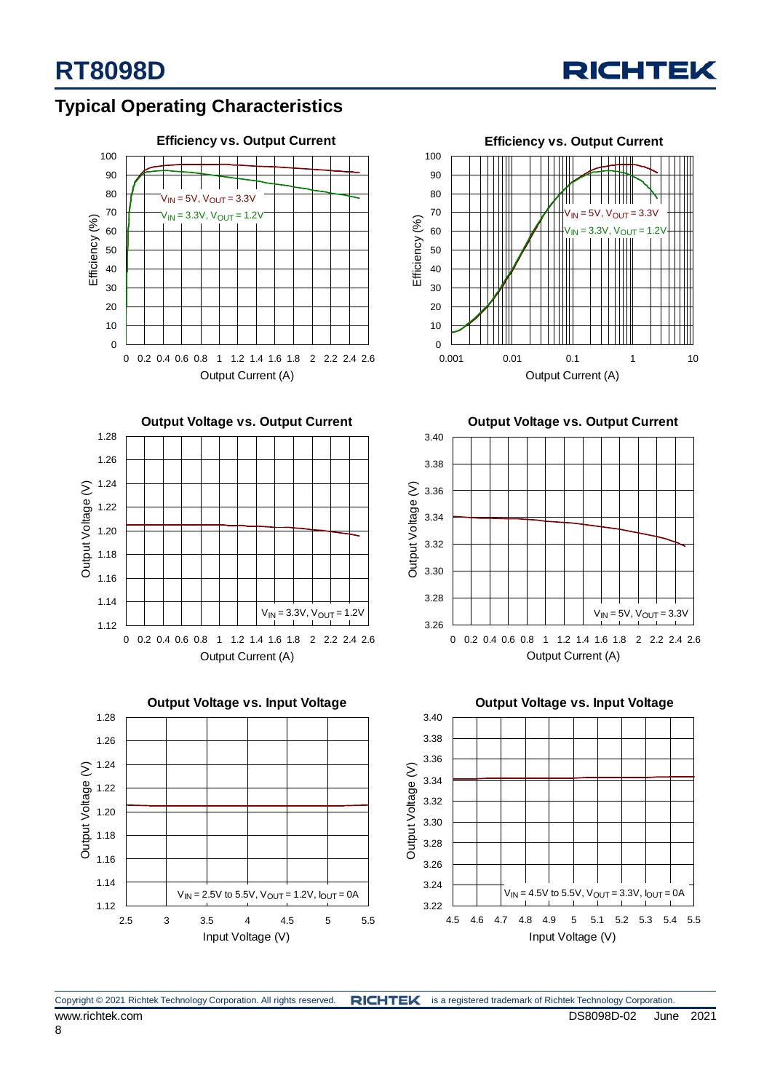

### **Typical Operating Characteristics**









**Output Voltage vs. Output Current**



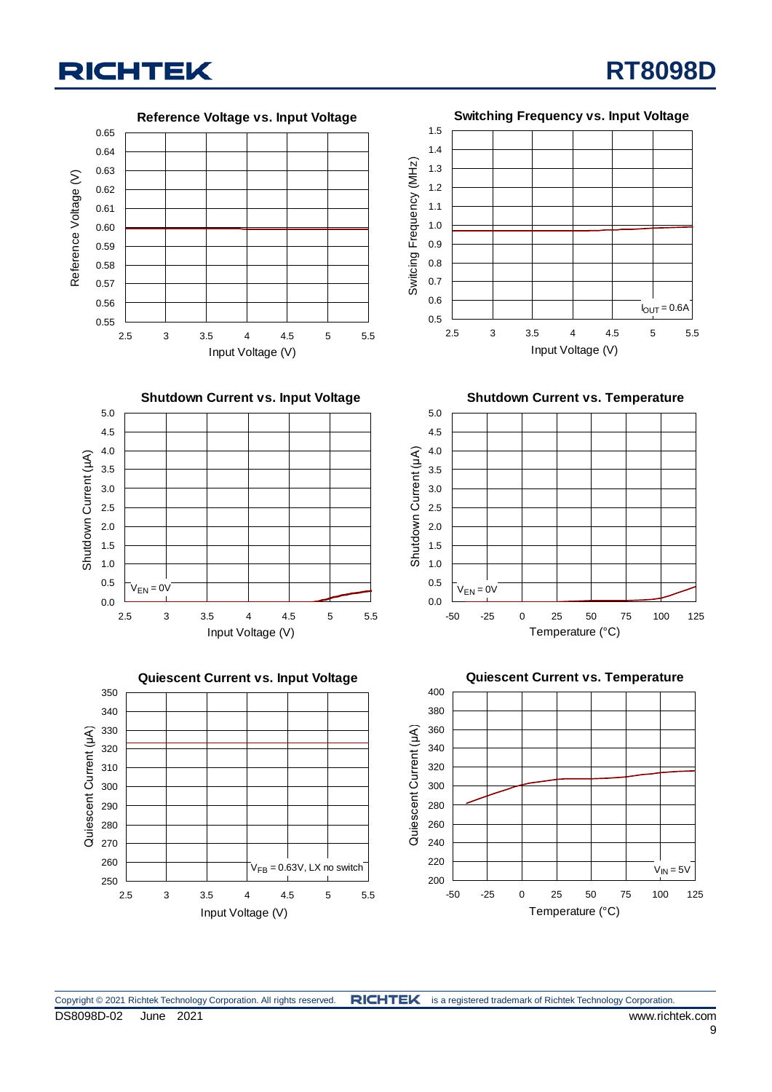Reference Voltage (V)

Reference Voltage (V)

Shutdown Current (µA)

Shutdown Current (µA)

Quiescent Current (μA)

Quiescent Current (µA)

**Reference Voltage vs. Input Voltage**

#### 0.65 1.5 1.4 0.64 Switcing Frequency (MHz) 1 Switcing Frequency (MHz) 1.3 0.63 1.2 0.62 1.1 0.61 1.0 0.60 0.9 0.59 0.8 0.58 0.7 0.57 0.56 0.6  $I_{\text{OUT}} = 0.6A$ 0.5 0.55 2.5 3 3.5 4 4.5 5 5.5 2.5 3 3.5 4 4.5 5 5.5 Input Voltage (V) Input Voltage (V) **Shutdown Current vs. Input Voltage Shutdown Current vs. Temperature** 5.0 5.0 4.5 4.5 Shutdown Current (μA) 1 4.0 4.0 Shutdown Current (µA) 3.5 3.5 3.0 3.0 2.5 2.5 2.0 2.0 1.5 1.5 1.0 1.0 0.5 0.5  $V_{EN} = 0V$  $V_{EN} = 0V$ 0.0 0.0 2.5 3 3.5 4 4.5 5 5.5 -50 -25 0 25 50 75 100 125 Input Voltage (V) Temperature (°C) **Quiescent Current vs. Input Voltage Quiescent Current vs. Temperature** 400 350 380 340 360 330 Quiescent Current (µA) Quiescent Current (μA) 340 320 320 310 300 300 280 290 260 280 270 240 260 220  $V_{FB} = 0.63V$ , LX no switch  $V_{IN} = 5V$ 250 200 2.5 3 3.5 4 4.5 5 5.5 -50 -25 0 25 50 75 100 125 Temperature (°C) Input Voltage (V)

**RT8098D**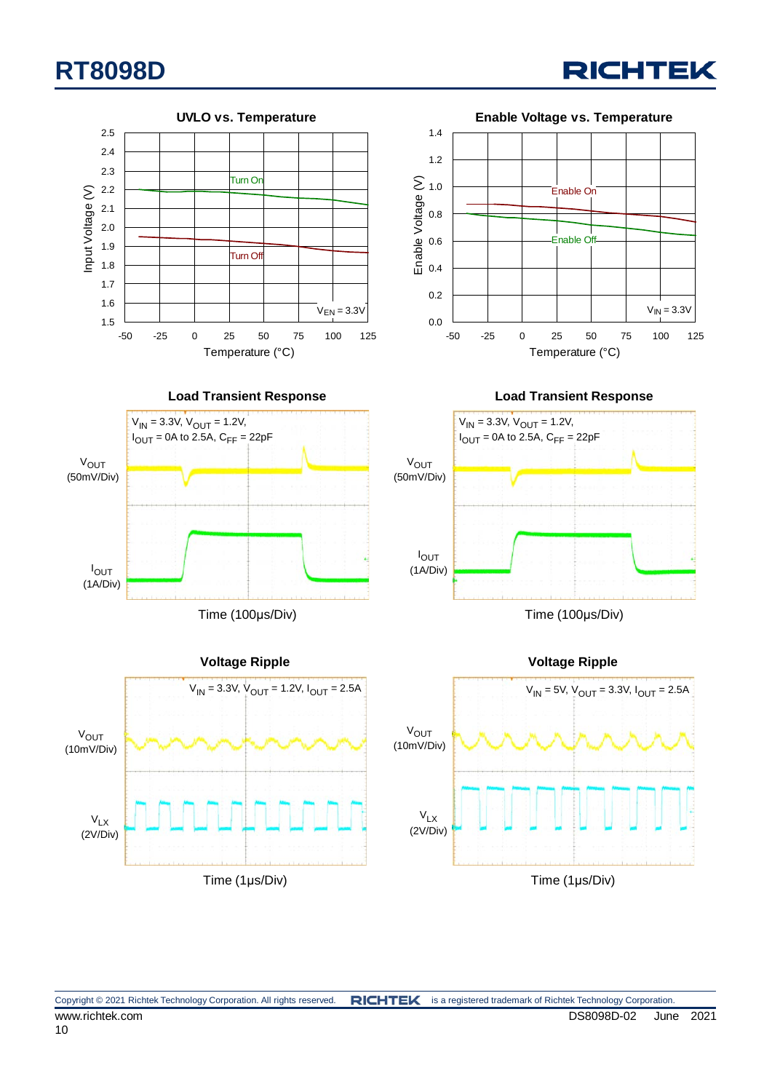

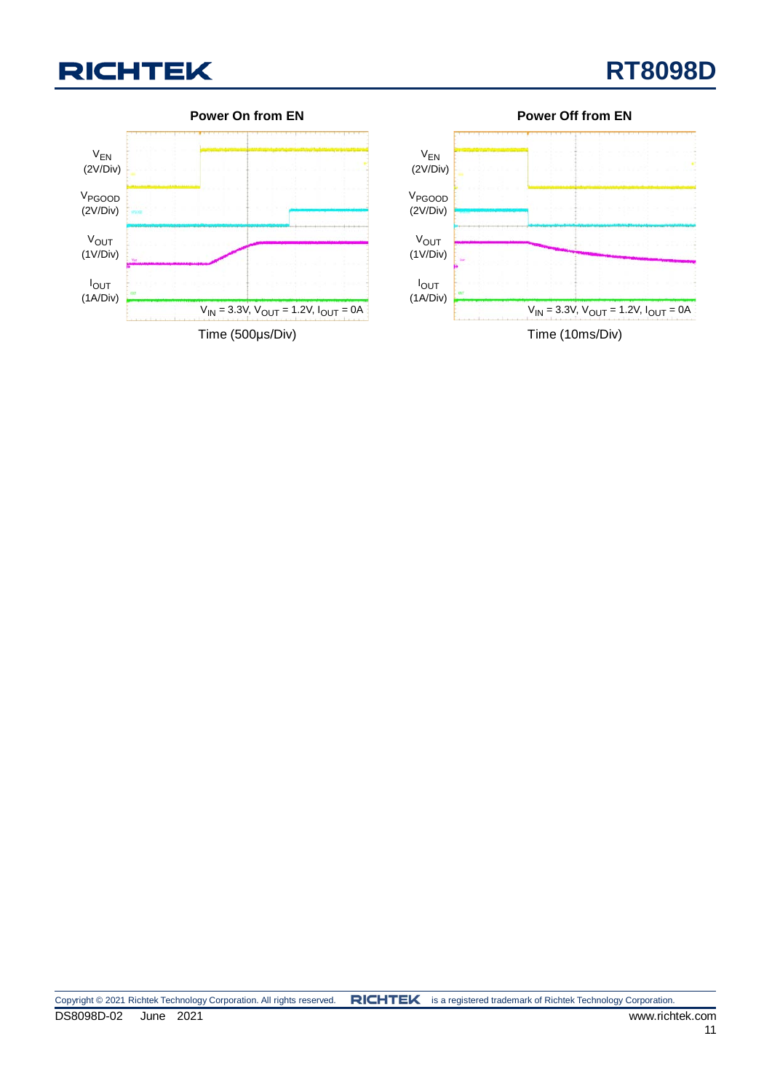



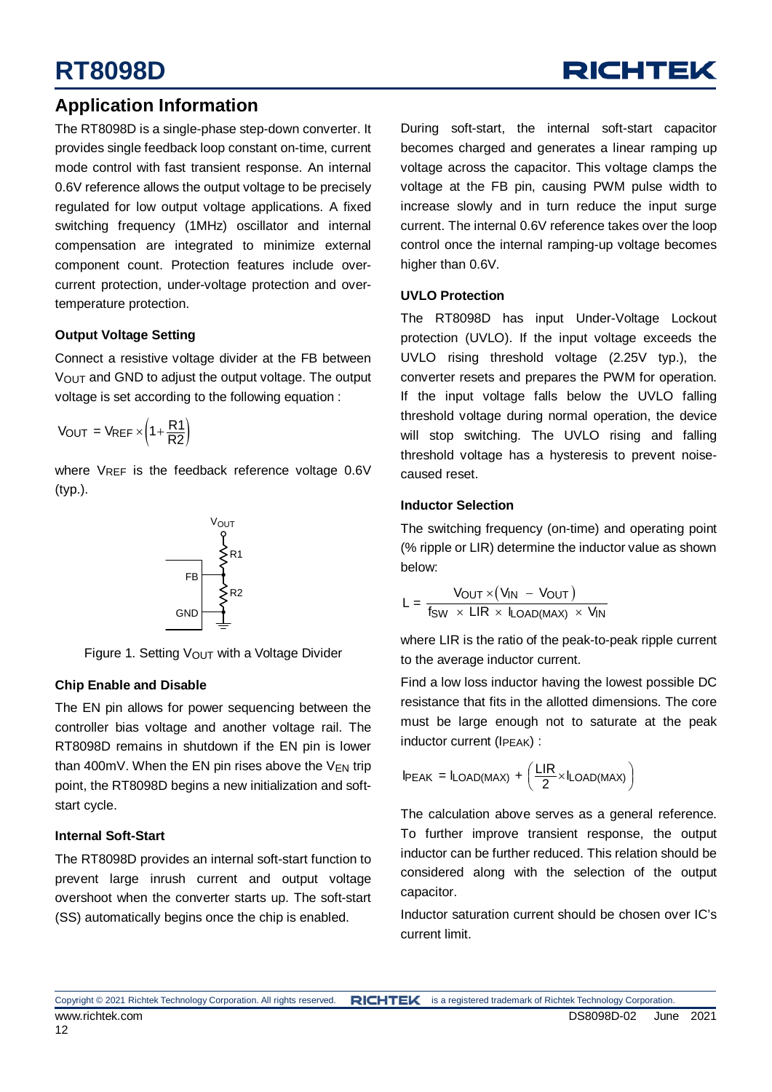### **Application Information**

The RT8098D is a single-phase step-down converter. It provides single feedback loop constant on-time, current mode control with fast transient response. An internal 0.6V reference allows the output voltage to be precisely regulated for low output voltage applications. A fixed switching frequency (1MHz) oscillator and internal compensation are integrated to minimize external component count. Protection features include overcurrent protection, under-voltage protection and overtemperature protection.

### **Output Voltage Setting**

Connect a resistive voltage divider at the FB between VOUT and GND to adjust the output voltage. The output voltage is set according to the following equation :

$$
V_{OUT} = V_{REF} \times \left(1 + \frac{R1}{R2}\right)
$$

where VREF is the feedback reference voltage 0.6V (typ.).



Figure 1. Setting V<sub>OUT</sub> with a Voltage Divider

### **Chip Enable and Disable**

The EN pin allows for power sequencing between the controller bias voltage and another voltage rail. The RT8098D remains in shutdown if the EN pin is lower than 400mV. When the EN pin rises above the  $V_{EN}$  trip point, the RT8098D begins a new initialization and softstart cycle.

### **Internal Soft-Start**

The RT8098D provides an internal soft-start function to prevent large inrush current and output voltage overshoot when the converter starts up. The soft-start (SS) automatically begins once the chip is enabled.

During soft-start, the internal soft-start capacitor becomes charged and generates a linear ramping up voltage across the capacitor. This voltage clamps the voltage at the FB pin, causing PWM pulse width to increase slowly and in turn reduce the input surge current. The internal 0.6V reference takes over the loop control once the internal ramping-up voltage becomes higher than 0.6V.

**RICHTEK** 

### **UVLO Protection**

The RT8098D has input Under-Voltage Lockout protection (UVLO). If the input voltage exceeds the UVLO rising threshold voltage (2.25V typ.), the converter resets and prepares the PWM for operation. If the input voltage falls below the UVLO falling threshold voltage during normal operation, the device will stop switching. The UVLO rising and falling threshold voltage has a hysteresis to prevent noisecaused reset.

### **Inductor Selection**

The switching frequency (on-time) and operating point (% ripple or LIR) determine the inductor value as shown below:

$$
L = \frac{V_{OUT} \times (V_{IN} - V_{OUT})}{f_{SW} \times LIR \times I_{LOAD(MAX)} \times V_{IN}}
$$

where LIR is the ratio of the peak-to-peak ripple current to the average inductor current.

Find a low loss inductor having the lowest possible DC resistance that fits in the allotted dimensions. The core must be large enough not to saturate at the peak inductor current (IPEAK) :

$$
I_{PEAK} = I_{LOAD(MAX)} + \left(\frac{LIR}{2} \times I_{LOAD(MAX)}\right)
$$

The calculation above serves as a general reference. To further improve transient response, the output inductor can be further reduced. This relation should be considered along with the selection of the output capacitor.

Inductor saturation current should be chosen over IC's current limit.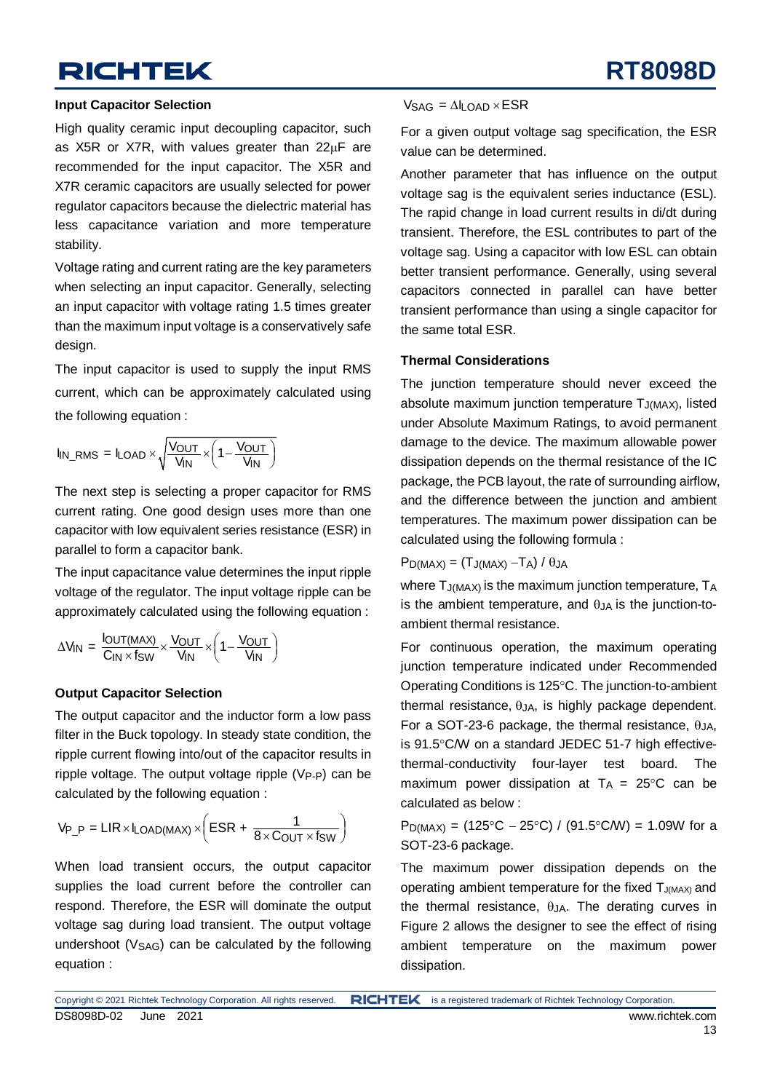#### **Input Capacitor Selection**

High quality ceramic input decoupling capacitor, such as X5R or X7R, with values greater than 22µF are recommended for the input capacitor. The X5R and X7R ceramic capacitors are usually selected for power regulator capacitors because the dielectric material has less capacitance variation and more temperature stability.

Voltage rating and current rating are the key parameters when selecting an input capacitor. Generally, selecting an input capacitor with voltage rating 1.5 times greater than the maximum input voltage is a conservatively safe design.

The input capacitor is used to supply the input RMS current, which can be approximately calculated using the following equation :

$$
I_{IN\_RMS} = I_{LOAD} \times \sqrt{\frac{V_{OUT}}{V_{IN}} \times \left(1 - \frac{V_{OUT}}{V_{IN}}\right)}
$$

The next step is selecting a proper capacitor for RMS current rating. One good design uses more than one capacitor with low equivalent series resistance (ESR) in parallel to form a capacitor bank.

The input capacitance value determines the input ripple voltage of the regulator. The input voltage ripple can be approximately calculated using the following equation :

$$
\Delta V_{IN} = \frac{I_{OUT(MAX)}}{C_{IN} \times f_{SW}} \times \frac{V_{OUT}}{V_{IN}} \times \left(1 - \frac{V_{OUT}}{V_{IN}}\right)
$$

### **Output Capacitor Selection**

The output capacitor and the inductor form a low pass filter in the Buck topology. In steady state condition, the ripple current flowing into/out of the capacitor results in ripple voltage. The output voltage ripple  $(V_{P-P})$  can be calculated by the following equation :

$$
V_{P\_P} = LIR \times I_{LOAD(MAX)} \times \left( ESR + \frac{1}{8 \times C_{OUT} \times f_{SW}} \right)
$$

When load transient occurs, the output capacitor supplies the load current before the controller can respond. Therefore, the ESR will dominate the output voltage sag during load transient. The output voltage undershoot  $(V<sub>SAG</sub>)$  can be calculated by the following equation :

#### $V_{\text{SAG}} = \Delta I_{\text{I}} \Omega_{\text{AD}} \times \text{ESR}$

For a given output voltage sag specification, the ESR value can be determined.

Another parameter that has influence on the output voltage sag is the equivalent series inductance (ESL). The rapid change in load current results in di/dt during transient. Therefore, the ESL contributes to part of the voltage sag. Using a capacitor with low ESL can obtain better transient performance. Generally, using several capacitors connected in parallel can have better transient performance than using a single capacitor for the same total ESR.

#### **Thermal Considerations**

The junction temperature should never exceed the absolute maximum junction temperature TJ(MAX), listed under Absolute Maximum Ratings, to avoid permanent damage to the device. The maximum allowable power dissipation depends on the thermal resistance of the IC package, the PCB layout, the rate of surrounding airflow, and the difference between the junction and ambient temperatures. The maximum power dissipation can be calculated using the following formula :

 $P_{D(MAX)} = (T_{J(MAX)} - T_A) / \theta_{JA}$ 

where  $T_{\text{J}(MAX)}$  is the maximum junction temperature,  $T_A$ is the ambient temperature, and  $\theta_{JA}$  is the junction-toambient thermal resistance.

For continuous operation, the maximum operating junction temperature indicated under Recommended Operating Conditions is 125°C. The junction-to-ambient thermal resistance,  $\theta_{J}A$ , is highly package dependent. For a SOT-23-6 package, the thermal resistance, θJA, is 91.5°C/W on a standard JEDEC 51-7 high effectivethermal-conductivity four-layer test board. The maximum power dissipation at  $T_A = 25^{\circ}C$  can be calculated as below :

P<sub>D(MAX)</sub> = (125°C – 25°C) / (91.5°C/W) = 1.09W for a SOT-23-6 package.

The maximum power dissipation depends on the operating ambient temperature for the fixed TJ(MAX) and the thermal resistance,  $\theta$ JA. The derating curves in Figure 2 allows the designer to see the effect of rising ambient temperature on the maximum power dissipation.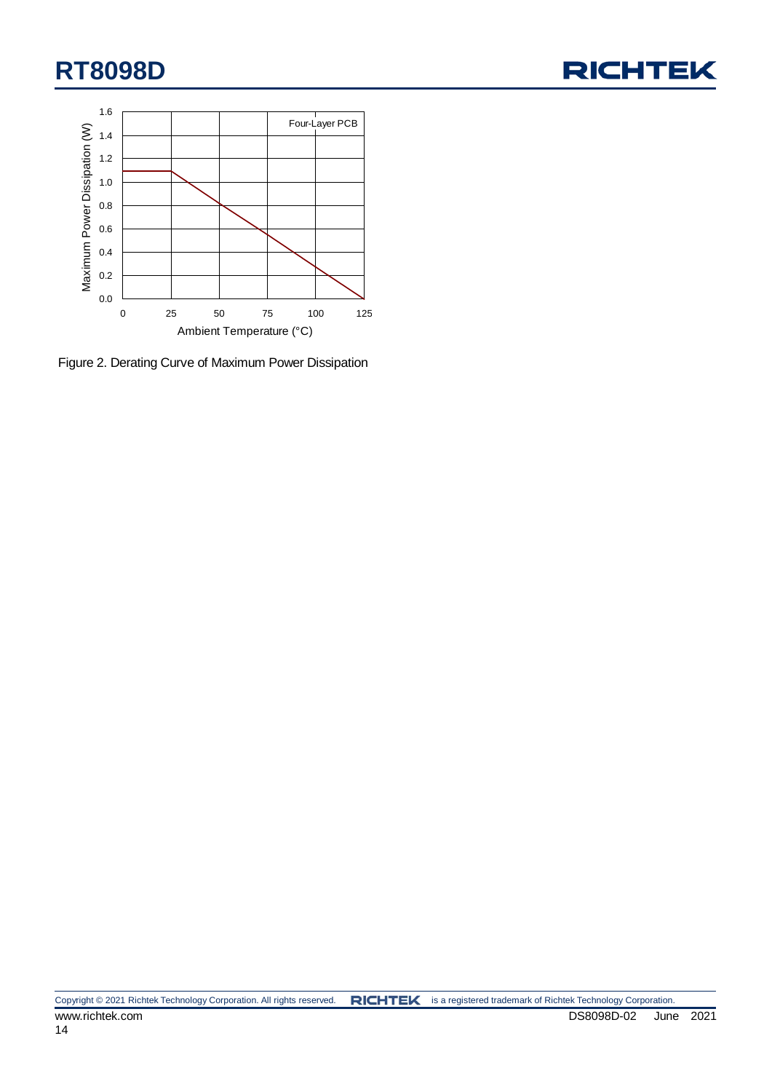



Figure 2. Derating Curve of Maximum Power Dissipation

Copyright © 2021 Richtek Technology Corporation. All rights reserved. RICHTEK is a registered trademark of Richtek Technology Corporation. www.richtek.com DS8098D-02 June 2021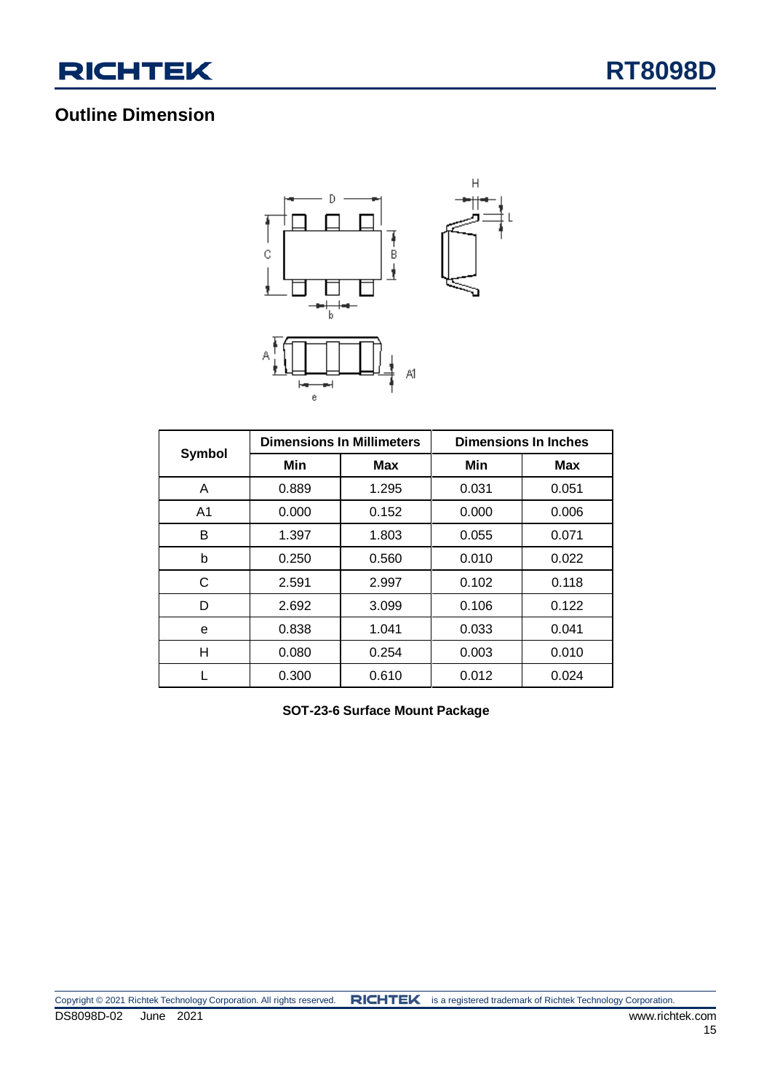

### **Outline Dimension**



|                |       | <b>Dimensions In Millimeters</b> | <b>Dimensions In Inches</b> |            |  |  |
|----------------|-------|----------------------------------|-----------------------------|------------|--|--|
| Symbol         | Min   | <b>Max</b>                       | Min                         | <b>Max</b> |  |  |
| A              | 0.889 | 1.295                            | 0.031                       | 0.051      |  |  |
| A <sub>1</sub> | 0.000 | 0.152                            | 0.000                       | 0.006      |  |  |
| B              | 1.397 | 1.803                            | 0.055                       | 0.071      |  |  |
| b              | 0.250 | 0.560                            | 0.010                       | 0.022      |  |  |
| С              | 2.591 | 2.997                            | 0.102                       | 0.118      |  |  |
| D              | 2.692 | 3.099                            | 0.106                       | 0.122      |  |  |
| e              | 0.838 | 1.041                            | 0.033                       | 0.041      |  |  |
| Н              | 0.080 | 0.254                            | 0.003                       | 0.010      |  |  |
|                | 0.300 | 0.610                            | 0.012                       | 0.024      |  |  |

**SOT-23-6 Surface Mount Package**